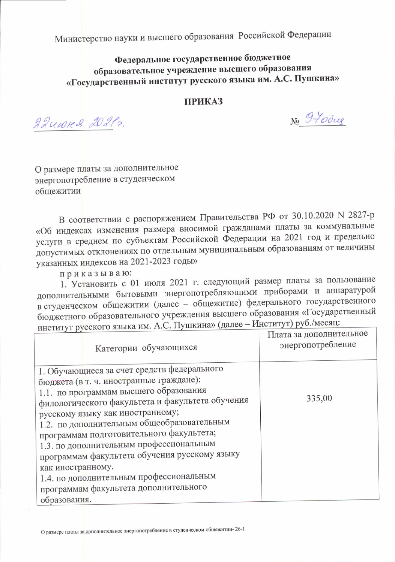Министерство науки и высшего образования Российской Федерации

## Федеральное государственное бюджетное образовательное учреждение высшего образования «Государственный институт русского языка им. А.С. Пушкина»

## **ПРИКАЗ**

22 uwred 20212.

No 9-Your

О размере платы за дополнительное энергопотребление в студенческом обшежитии

В соответствии с распоряжением Правительства РФ от 30.10.2020 N 2827-р «Об индексах изменения размера вносимой гражданами платы за коммунальные услуги в среднем по субъектам Российской Федерации на 2021 год и предельно допустимых отклонениях по отдельным муниципальным образованиям от величины указанных индексов на 2021-2023 годы»

приказываю:

1. Установить с 01 июля 2021 г. следующий размер платы за пользование дополнительными бытовыми энергопотребляющими приборами и аппаратурой в студенческом общежитии (далее - общежитие) федерального государственного бюджетного образовательного учреждения высшего образования «Государственный институт русского языка им. А.С. Пушкина» (далее - Институт) руб./месяц:

| 1. Обучающиеся за счет средств федерального<br>бюджета (в т. ч. иностранные граждане):<br>1.1. по программам высшего образования<br>335,00<br>филологического факультета и факультета обучения<br>русскому языку как иностранному;<br>1.2. по дополнительным общеобразовательным<br>программам подготовительного факультета;<br>1.3. по дополнительным профессиональным<br>программам факультета обучения русскому языку<br>как иностранному.<br>1.4. по дополнительным профессиональным | PHUTPLY L Pycerol o Aspire Hall Pro-<br>Категории обучающихся | Плата за дополнительное<br>энергопотребление |
|------------------------------------------------------------------------------------------------------------------------------------------------------------------------------------------------------------------------------------------------------------------------------------------------------------------------------------------------------------------------------------------------------------------------------------------------------------------------------------------|---------------------------------------------------------------|----------------------------------------------|
| образования.                                                                                                                                                                                                                                                                                                                                                                                                                                                                             | программам факультета дополнительного                         |                                              |